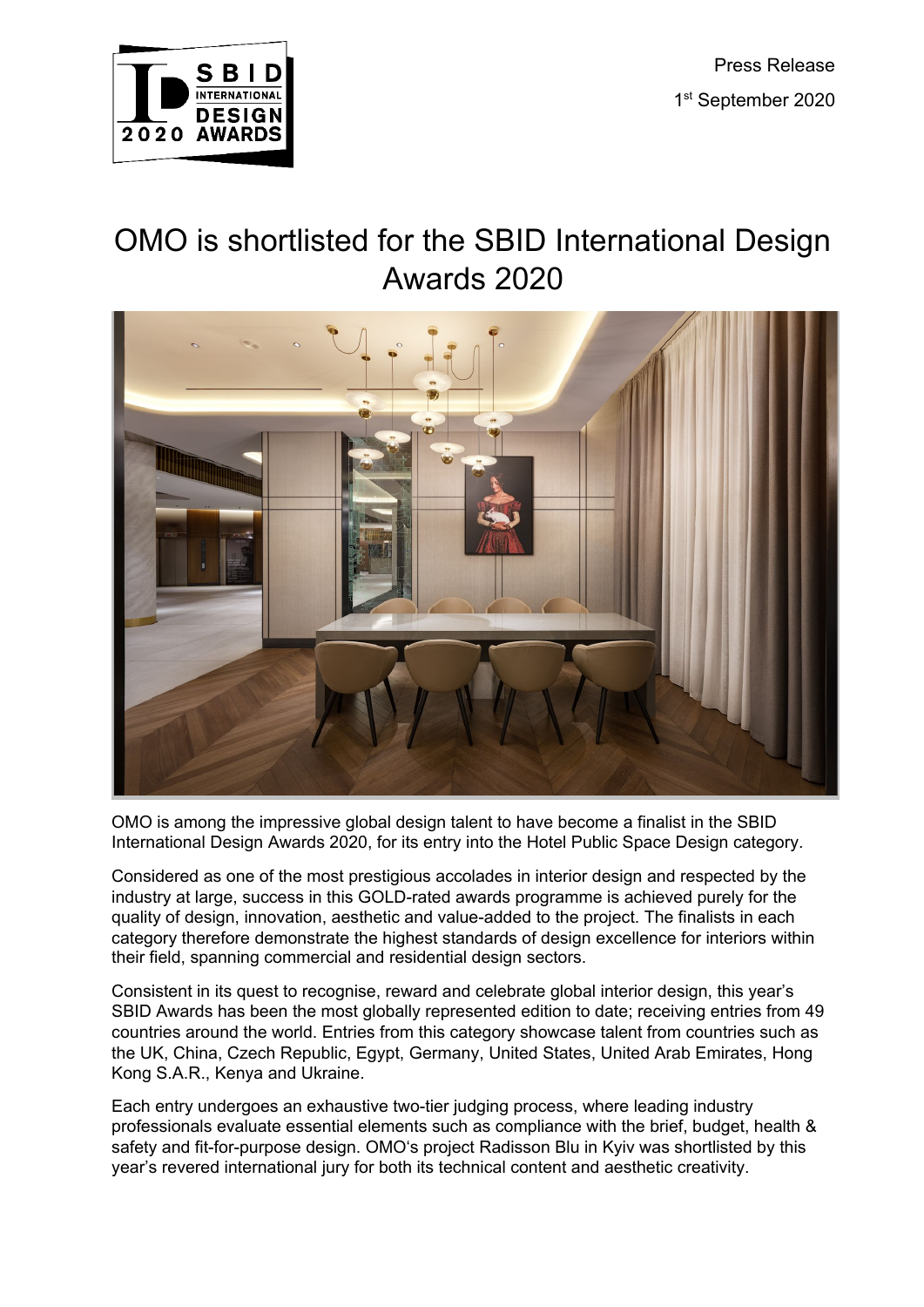Press Release 1st September 2020



# OMO is shortlisted for the SBID International Design Awards 2020



OMO is among the impressive global design talent to have become a finalist in the SBID International Design Awards 2020, for its entry into the Hotel Public Space Design category.

Considered as one of the most prestigious accolades in interior design and respected by the industry at large, success in this GOLD-rated awards programme is achieved purely for the quality of design, innovation, aesthetic and value-added to the project. The finalists in each category therefore demonstrate the highest standards of design excellence for interiors within their field, spanning commercial and residential design sectors.

Consistent in its quest to recognise, reward and celebrate global interior design, this year's SBID Awards has been the most globally represented edition to date; receiving entries from 49 countries around the world. Entries from this category showcase talent from countries such as the UK, China, Czech Republic, Egypt, Germany, United States, United Arab Emirates, Hong Kong S.A.R., Kenya and Ukraine.

Each entry undergoes an exhaustive two-tier judging process, where leading industry professionals evaluate essential elements such as compliance with the brief, budget, health & safety and fit-for-purpose design. OMO's project Radisson Blu in Kyiv was shortlisted by this year's revered international jury for both its technical content and aesthetic creativity.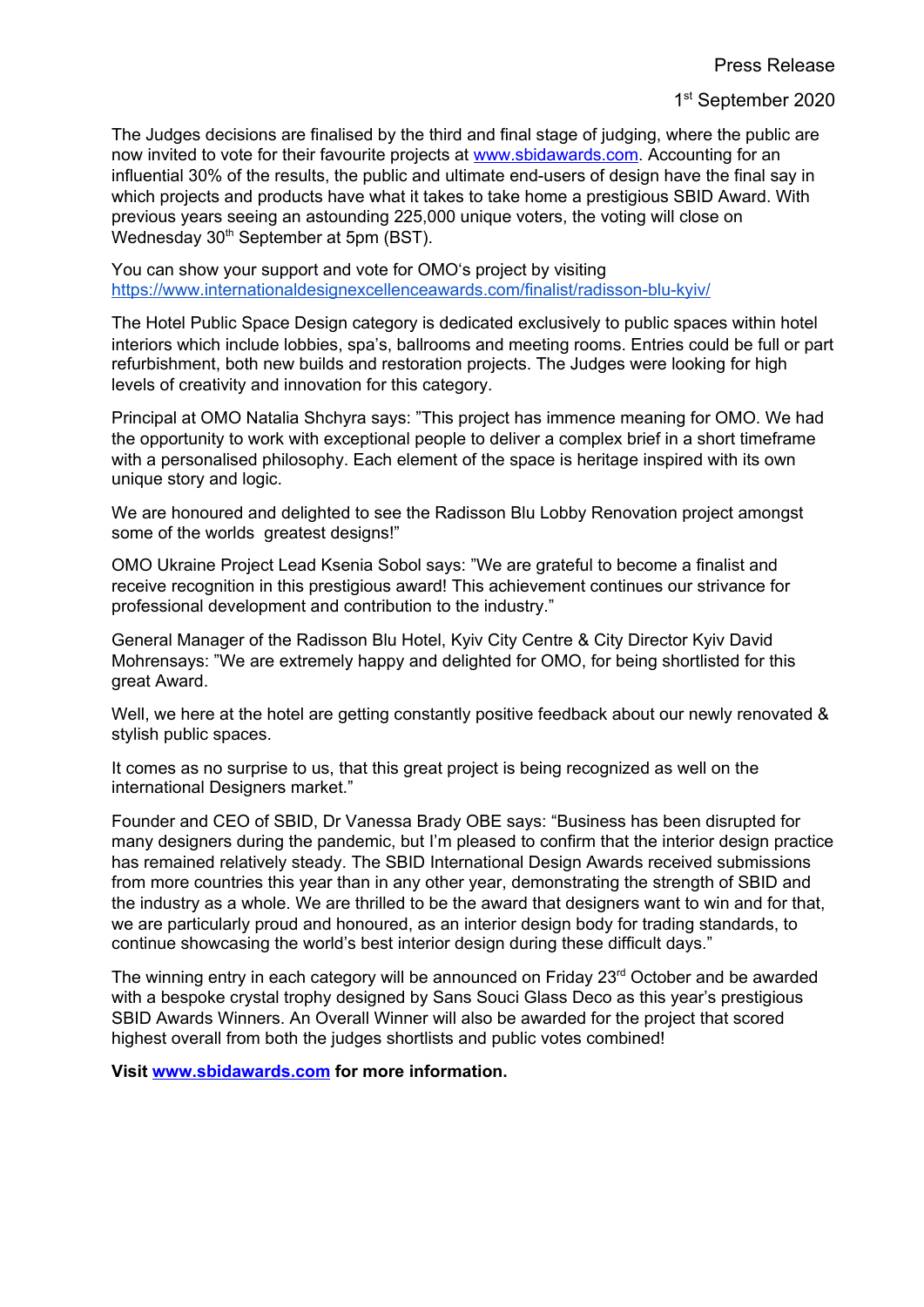The Judges decisions are finalised by the third and final stage of judging, where the public are now invited to vote for their favourite projects at [www.sbidawards.com](http://www.sbidawards.com/). Accounting for an influential 30% of the results, the public and ultimate end-users of design have the final say in which projects and products have what it takes to take home a prestigious SBID Award. With previous years seeing an astounding 225,000 unique voters, the voting will close on Wednesday 30<sup>th</sup> September at 5pm (BST).

You can show your support and vote for OMO's project by visiting <https://www.internationaldesignexcellenceawards.com/finalist/radisson-blu-kyiv/>

The Hotel Public Space Design category is dedicated exclusively to public spaces within hotel interiors which include lobbies, spa's, ballrooms and meeting rooms. Entries could be full or part refurbishment, both new builds and restoration projects. The Judges were looking for high levels of creativity and innovation for this category.

Principal at OMO Natalia Shchyra says: "This project has immence meaning for OMO. We had the opportunity to work with exceptional people to deliver a complex brief in a short timeframe with a personalised philosophy. Each element of the space is heritage inspired with its own unique story and logic.

We are honoured and delighted to see the Radisson Blu Lobby Renovation project amongst some of the worlds greatest designs!"

OMO Ukraine Project Lead Ksenia Sobol says: "We are grateful to become a finalist and receive recognition in this prestigious award! This achievement continues our strivance for professional development and contribution to the industry."

General Manager of the Radisson Blu Hotel, Kyiv City Centre & City Director Kyiv David Mohrensays: "We are extremely happy and delighted for OMO, for being shortlisted for this great Award.

Well, we here at the hotel are getting constantly positive feedback about our newly renovated & stylish public spaces.

It comes as no surprise to us, that this great project is being recognized as well on the international Designers market."

Founder and CEO of SBID, Dr Vanessa Brady OBE says: "Business has been disrupted for many designers during the pandemic, but I'm pleased to confirm that the interior design practice has remained relatively steady. The SBID International Design Awards received submissions from more countries this year than in any other year, demonstrating the strength of SBID and the industry as a whole. We are thrilled to be the award that designers want to win and for that, we are particularly proud and honoured, as an interior design body for trading standards, to continue showcasing the world's best interior design during these difficult days."

The winning entry in each category will be announced on Friday 23<sup>rd</sup> October and be awarded with a bespoke crystal trophy designed by Sans Souci Glass Deco as this year's prestigious SBID Awards Winners. An Overall Winner will also be awarded for the project that scored highest overall from both the judges shortlists and public votes combined!

**Visit [www.sbidawards.com](http://www.sbidawards.com/) for more information.**